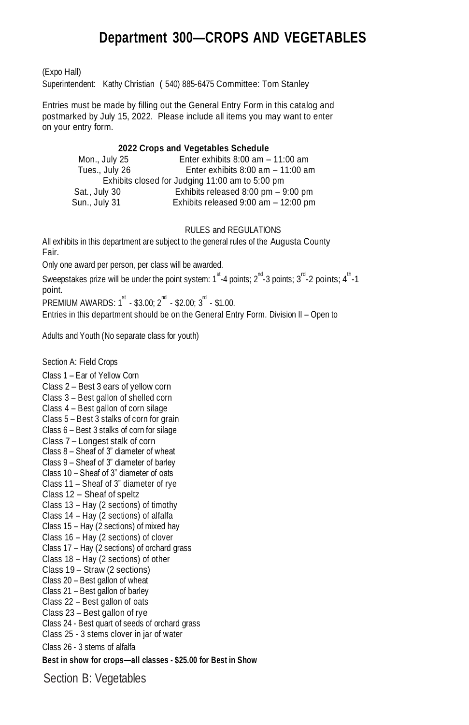# **Department 300—CROPS AND VEGETABLES**

(Expo Hall)

Superintendent: Kathy Christian ( 540) 885-6475 Committee: Tom Stanley

Entries must be made by filling out the General Entry Form in this catalog and postmarked by July 15, 2022. Please include all items you may want to enter on your entry form.

#### **2022 Crops and Vegetables Schedule**

| Mon., July 25  | Enter exhibits $8:00$ am $-11:00$ am            |
|----------------|-------------------------------------------------|
| Tues., July 26 | Enter exhibits $8:00$ am $-11:00$ am            |
|                | Exhibits closed for Judging 11:00 am to 5:00 pm |
| Sat., July 30  | Exhibits released $8:00$ pm $-9:00$ pm          |
| Sun., July 31  | Exhibits released $9:00$ am $-12:00$ pm         |

#### RULES and REGULATIONS

All exhibits in this department are subject to the general rules of the Augusta County Fair.

Only one award per person, per class will be awarded.

Sweepstakes prize will be under the point system: 1<sup>st</sup>-4 points; 2<sup>nd</sup>-3 points; 3<sup>rd</sup>-2 points; 4<sup>th</sup>-1 point.

 $\mathsf{PREMIUM}$  AWARDS: 1 $^{\mathrm{st}}$  - \$3.00; 2 $^{\mathsf{nd}}$  - \$2.00; 3 $^{\mathsf{rd}}$  - \$1.00.

Entries in this department should be on the General Entry Form. Division II – Open to

Adults and Youth (No separate class for youth)

Section A: Field Crops

Class 1 – Ear of Yellow Corn Class 2 – Best 3 ears of yellow corn Class 3 – Best gallon of shelled corn Class 4 – Best gallon of corn silage Class 5 – Best 3 stalks of corn for grain Class 6 – Best 3 stalks of corn for silage Class 7 – Longest stalk of corn Class 8 – Sheaf of 3" diameter of wheat Class 9 – Sheaf of 3" diameter of barley Class 10 – Sheaf of 3" diameter of oats Class 11 – Sheaf of 3" diameter of rye Class 12 – Sheaf of speltz Class 13 – Hay (2 sections) of timothy Class 14 – Hay (2 sections) of alfalfa Class 15 – Hay (2 sections) of mixed hay Class 16 – Hay (2 sections) of clover Class 17 – Hay (2 sections) of orchard grass Class 18 – Hay (2 sections) of other Class 19 – Straw (2 sections) Class 20 – Best gallon of wheat Class 21 – Best gallon of barley Class 22 – Best gallon of oats Class 23 – Best gallon of rye Class 24 - Best quart of seeds of orchard grass Class 25 - 3 stems clover in jar of water Class 26 - 3 stems of alfalfa **Best in show for crops—all classes - \$25.00 for Best in Show**

Section B: Vegetables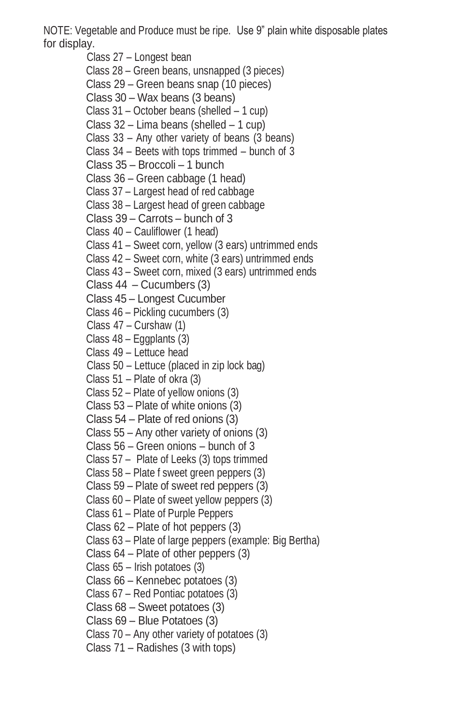NOTE: Vegetable and Produce must be ripe. Use 9" plain white disposable plates for display.

Class 27 – Longest bean Class 28 – Green beans, unsnapped (3 pieces) Class 29 – Green beans snap (10 pieces) Class 30 – Wax beans (3 beans) Class 31 – October beans (shelled – 1 cup) Class 32 – Lima beans (shelled – 1 cup) Class 33 – Any other variety of beans (3 beans) Class 34 – Beets with tops trimmed – bunch of 3 Class 35 – Broccoli – 1 bunch Class 36 – Green cabbage (1 head) Class 37 – Largest head of red cabbage Class 38 – Largest head of green cabbage Class 39 – Carrots – bunch of 3 Class 40 – Cauliflower (1 head) Class 41 – Sweet corn, yellow (3 ears) untrimmed ends Class 42 – Sweet corn, white (3 ears) untrimmed ends Class 43 – Sweet corn, mixed (3 ears) untrimmed ends Class 44 – Cucumbers (3) Class 45 – Longest Cucumber Class 46 – Pickling cucumbers (3) Class 47 – Curshaw (1) Class 48 – Eggplants (3) Class 49 – Lettuce head Class 50 – Lettuce (placed in zip lock bag) Class 51 – Plate of okra (3) Class 52 – Plate of yellow onions (3) Class 53 – Plate of white onions (3) Class 54 – Plate of red onions (3) Class 55 – Any other variety of onions (3) Class 56 – Green onions – bunch of 3 Class 57 – Plate of Leeks (3) tops trimmed Class 58 – Plate f sweet green peppers (3) Class 59 – Plate of sweet red peppers (3) Class 60 – Plate of sweet yellow peppers (3) Class 61 – Plate of Purple Peppers Class 62 – Plate of hot peppers (3) Class 63 – Plate of large peppers (example: Big Bertha) Class 64 – Plate of other peppers (3) Class 65 – Irish potatoes (3) Class 66 – Kennebec potatoes (3) Class 67 – Red Pontiac potatoes (3) Class 68 – Sweet potatoes (3) Class 69 – Blue Potatoes (3) Class 70 – Any other variety of potatoes (3)

Class 71 – Radishes (3 with tops)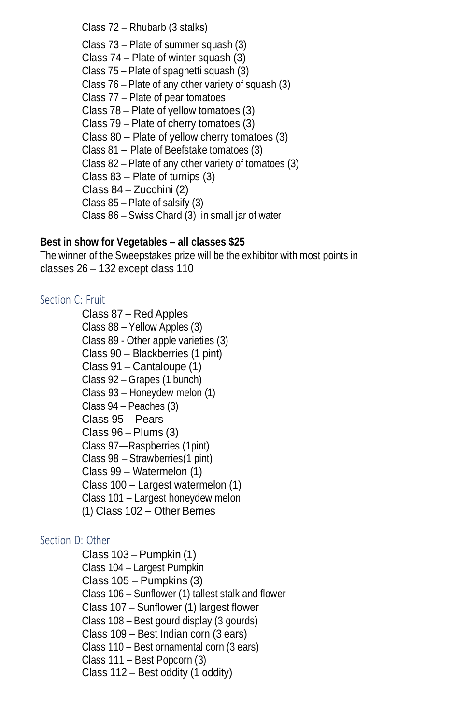Class 72 – Rhubarb (3 stalks)

Class 73 – Plate of summer squash (3) Class 74 – Plate of winter squash (3) Class 75 – Plate of spaghetti squash (3) Class 76 – Plate of any other variety of squash (3) Class 77 – Plate of pear tomatoes Class 78 – Plate of yellow tomatoes (3) Class 79 – Plate of cherry tomatoes (3) Class 80 – Plate of yellow cherry tomatoes (3) Class 81 – Plate of Beefstake tomatoes (3) Class 82 – Plate of any other variety of tomatoes (3) Class 83 – Plate of turnips (3) Class 84 – Zucchini (2) Class 85 – Plate of salsify (3) Class 86 – Swiss Chard (3) in small jar of water

## **Best in show for Vegetables – all classes \$25**

The winner of the Sweepstakes prize will be the exhibitor with most points in classes 26 – 132 except class 110

# Section C: Fruit

Class 87 – Red Apples Class 88 – Yellow Apples (3) Class 89 - Other apple varieties (3) Class 90 – Blackberries (1 pint) Class 91 – Cantaloupe (1) Class 92 – Grapes (1 bunch) Class 93 – Honeydew melon (1) Class 94 – Peaches (3) Class 95 – Pears Class 96 – Plums (3) Class 97—Raspberries (1pint) Class 98 – Strawberries(1 pint) Class 99 – Watermelon (1) Class 100 – Largest watermelon (1) Class 101 – Largest honeydew melon (1) Class 102 – Other Berries

# Section D: Other

Class 103 – Pumpkin (1) Class 104 – Largest Pumpkin Class 105 – Pumpkins (3) Class 106 – Sunflower (1) tallest stalk and flower Class 107 – Sunflower (1) largest flower Class 108 – Best gourd display (3 gourds) Class 109 – Best Indian corn (3 ears) Class 110 – Best ornamental corn (3 ears) Class 111 – Best Popcorn (3) Class 112 – Best oddity (1 oddity)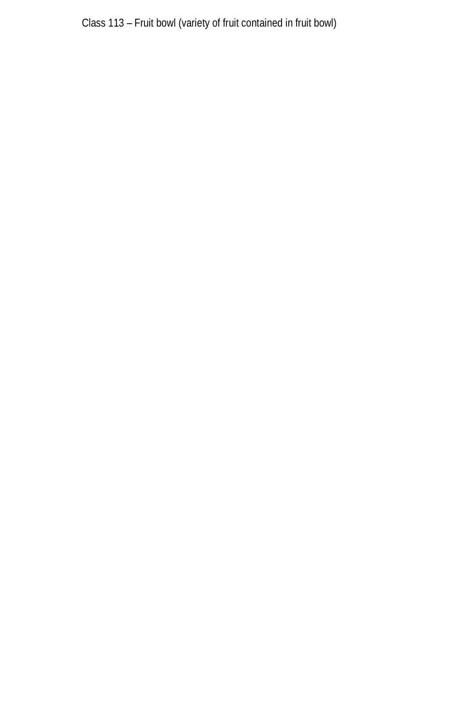Class 113 – Fruit bowl (variety of fruit contained in fruit bowl)